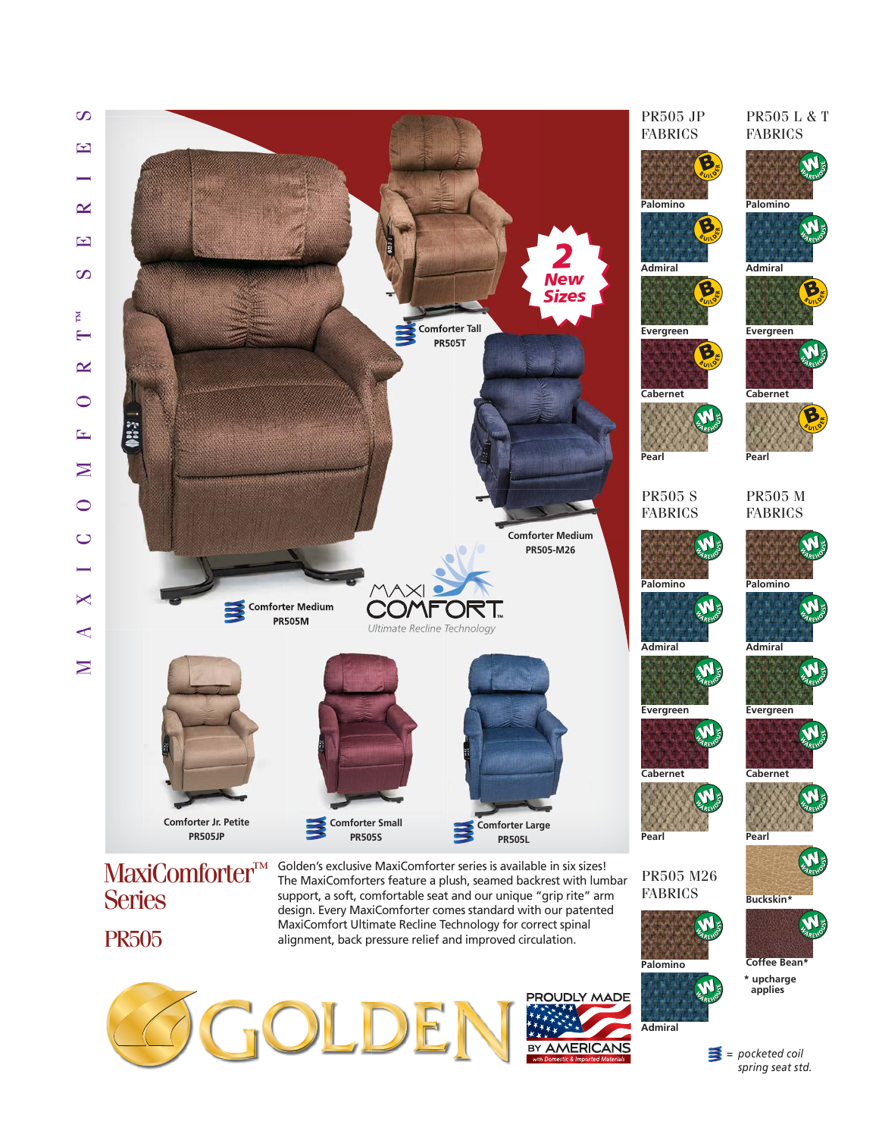





*= pocketed coil spring seat std.*